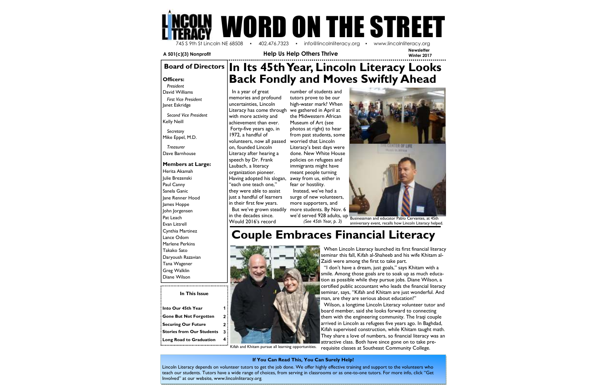**In This Issue** 

| Into Our 45th Year            | 1            |
|-------------------------------|--------------|
| <b>Gone But Not Forgotten</b> | $\mathbf{2}$ |
| <b>Securing Our Future</b>    | 2            |
| Stories from Our Students     | 3            |
| Long Road to Graduation       | 4            |



 **A 501(c)(3) Nonprofit Help Us Help Others Thrive** 

# **Couple Embraces Financial Literacy**



**Officers:**

  *President*  David Williams  *First Vice President* Janet Eskridge

*Second Vice President*Kelly Neill

*Secretary*Mike Eppel, M.D.

*Treasurer* Dave Barnhouse

#### **Members at Large:**

Herita Akamah Julie Brezenski Paul Canny Sanela Ganic Jane Renner Hood James Hoppe John Jorgensen Pat Leach Evan Littrell Cynthia Martinez Lance Odom Marlene Perkins Takako Sato Daryoush Razavian Tana Wagener Greg Walklin Diane Wilson

 In a year of great memories and profound uncertainties, Lincoln Literacy has come through with more activity and achievement than ever. Forty-five years ago, in 1972, a handful of

 volunteers, now all passed on, founded Lincoln Literacy after hearing a speech by Dr. Frank Laubach, a literacy organization pioneer. Having adopted his slogan, "each one teach one," they were able to assist just a handful of learners in their first few years. But we've grown steadily in the decades since. Would 2016's record



number of students and tutors prove to be our high-water mark? When we gathered in April at the Midwestern African Museum of Art (see photos at right) to hear from past students, some worried that Lincoln Literacy's best days were done. New White House policies on refugees and immigrants might have meant people turning away from us, either in fear or hostility.

 Instead, we've had a surge of new volunteers, more supporters, and more students. By Nov. 6 we'd served 928 adults, up $^\parallel$ *(See 45th Year, p. 3)*

#### **If You Can Read This, You Can Surely Help!**

Lincoln Literacy depends on volunteer tutors to get the job done. We offer highly effective training and support to the volunteers who teach our students. Tutors have a wide range of choices, from serving in classrooms or as one-to-one tutors. For more info, click "Get Involved" at our website, www.lincolnliteracy.org.

Kifah and Khitam pursue all learning opportunities. 

 When Lincoln Literacy launched its first financial literacy seminar this fall, Kifah al-Shaheeb and his wife Khitam al-Zaidi were among the first to take part.

 smile. Among those goals are to soak up as much education as possible while they pursue jobs. Diane Wilson, a certified public accountant who leads the financial literacy seminar, says, "Kifah and Khitam are just wonderful. And man, are they are serious about education!"

 Wilson, a longtime Lincoln Literacy volunteer tutor and board member, said she looks forward to connecting them with the engineering community. The Iraqi couple arrived in Lincoln as refugees five years ago. In Baghdad, Kifah supervised construction, while Khitam taught math. They share a love of numbers, so financial literacy was an attractive class. Both have since gone on to take prerequisite classes at Southeast Community College.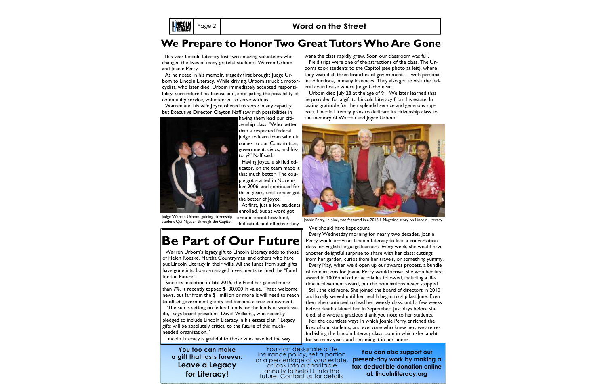### **Page 2 | Communist Communist Page 2 | Communist Communist Communist Communist Communist Communist Communist Communist Communist Communist Communist Communist Communist Communist Communist Communist Communist Communist Com**

### **We Prepare to Honor Two Great Tutors Who Are Gone**

# **Be Part of Our Future**

**You too can make a gift that lasts forever: Leave a Legacy for Literacy!** 

You can designate a life<br>insurance policy, set a portion<br>or a percentage of your estate,<br>or look into a charitable annuity to help LL into the future. Contact us for details.

 This year Lincoln Literacy lost two amazing volunteers who changed the lives of many grateful students: Warren Urbom and Joanie Perry.

> **tax-deductible donation online at: lincolnliteracy.org**

 As he noted in his memoir, tragedy first brought Judge Urbom to Lincoln Literacy. While driving, Urbom struck a motorcyclist, who later died. Urbom immediately accepted responsibility, surrendered his license and, anticipating the possibility of community service, volunteered to serve with us.

 Warren and his wife Joyce offered to serve in any capacity, but Executive Director Clayton Naff saw rich possibilities in



having them lead our citizenship class. "Who better than a respected federal judge to learn from when it comes to our Constitution, government, civics, and history?" Naff said.

 Having Joyce, a skilled educator, on the team made it that much better. The couple got started in November 2006, and continued for three years, until cancer got the better of Joyce. At first, just a few students enrolled, but as word got

around about how kind, dedicated, and effective they

 Warren Urbom's legacy gift to Lincoln Literacy adds to those of Helen Roeske, Martha Countryman, and others who have put Lincoln Literacy in their wills. All the funds from such gifts have gone into board-managed investments termed the "Fund for the Future."

 Since its inception in late 2015, the Fund has gained more than 7%. It recently topped \$100,000 in value. That's welcome news, but far from the \$1 million or more it will need to reach to offset government grants and become a true endowment.

 "The sun is setting on federal funds for the kinds of work we do," says board president David Williams, who recently pledged to include Lincoln Literacy in his estate plan. "Legacy gifts will be absolutely critical to the future of this muchneeded organization."



Lincoln Literacy is grateful to those who have led the way.

they visited all three branches of government — with personal

he provided for a gift to Lincoln Literacy from his estate. In lasting gratitude for their splendid service and generous support, Lincoln Literacy plans to dedicate its citizenship class to the memory of Warren and Joyce Urbom.

Judge Warren Urbom, guiding citizenship student Qui Nguyen through the Capitol.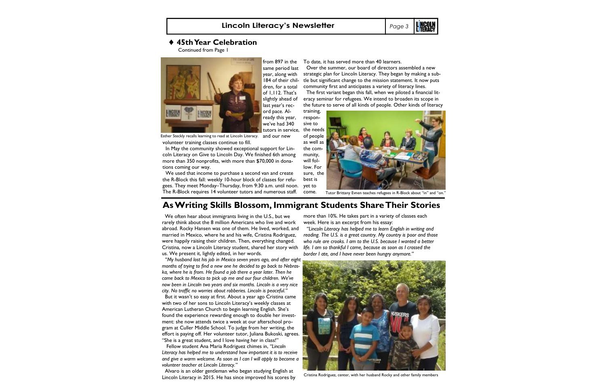### ♦ **45th Year Celebration**

Continued from Page 1



 same period last year, along with 184 of their children, for a total of 1,112. That's slightly ahead of last year's record pace. Already this year, we've had 340 tutors in service,

Esther Steckly recalls learning to read at Lincoln Literacy.  $\;$  and  $\;$ our $\;$ new $\;$ 

volunteer training classes continue to fill.

 In May the community showed exceptional support for Lincoln Literacy on Give to Lincoln Day. We finished 6th among more than 350 nonprofits, with more than \$70,000 in donations coming our way.

 We used that income to purchase a second van and create the R-Block this fall: weekly 10-hour block of classes for refugees. They meet Monday–Thursday, from 9:30 a.m. until noon. yet to The R-Block requires 14 volunteer tutors and numerous staff.

 We often hear about immigrants living in the U.S., but we rarely think about the 8 million Americans who live and work abroad. Rocky Hansen was one of them. He lived, worked, and married in Mexico, where he and his wife, Cristina Rodriguez, were happily raising their children. Then, everything changed. Cristina, now a Lincoln Literacy student, shared her story with us. We present it, lightly edited, in her words.

from 897 in the To date, it has served more than 40 learners.

  *"My husband lost his job in Mexico seven years ago, and after eight months of trying to find a new one he decided to go back to Nebraska, where he is from. He found a job there a year later. Then he came back to Mexico to pick up me and our four children. We've now been in Lincoln two years and six months. Lincoln is a very nice city. No traffic no worries about robberies. Lincoln is peaceful."* 

**L NGOU**  Over the summer, our board of directors assembled a new The first variant began this fall, when we piloted a financial litcome. Tutor Brittany Evnen teaches refugees in R-Block about "in" and "on." more than 10%. He takes part in a variety of classes each

 But it wasn't so easy at first. About a year ago Cristina came with two of her sons to Lincoln Literacy's weekly classes at American Lutheran Church to begin learning English. She's found the experience rewarding enough to double her investment: she now attends twice a week at our afterschool program at Culler Middle School. To judge from her writing, the effort is paying off. Her volunteer tutor, Juliana Bukoski, agrees. "She is a great student, and I love having her in class!"

 Fellow student Ana Maria Rodriguez chimes in, *"Lincoln Literacy has helped me to understand how important it is to receive and give a warm welcome. As soon as I can I will apply to become a volunteer teacher at Lincoln Literacy."* 

 Alvaro is an older gentleman who began studying English at Lincoln Literacy in 2015. He has since improved his scores by

 strategic plan for Lincoln Literacy. They began by making a subtle but significant change to the mission statement. It now puts community first and anticipates a variety of literacy lines.

eracy seminar for refugees. We intend to broaden its scope in the future to serve of all kinds of people. Other kinds of literacy

training, responsive to the needs of people as well as the community, will follow. For sure, the best is



### **As Writing Skills Blossom, Immigrant Students Share Their Stories**

week. Here is an excerpt from his essay:

  *"Lincoln Literacy has helped me to learn English in writing and reading. The U.S. is a great country. My country is poor and those who rule are crooks. I am to the U.S. because I wanted a better life. I am so thankful I came, because as soon as I crossed the border I ate, and I have never been hungry anymore."* 



Cristina Rodriguez, center, with her husband Rocky and other family members